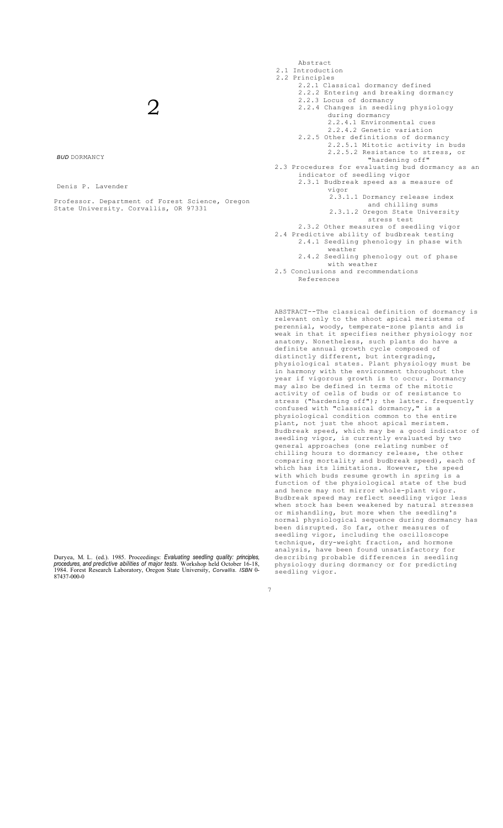# $\mathcal{D}_{\cdot}$

*BUD* DORMANCY

Denis P. Lavender

Professor. Department of Forest Science, Oregon State University. Corvallis, OR 97331

Duryea, M. L. (ed.). 1985. Proceedings: Evaluating seedling quality: principles, procedures, and predictive abilities of major tests. Workshop held October 16-18, 1984. The State Research Laboratory, Oregon State Universit

7

Abstract 2.1 Introduction 2.2 Principles 2.2.1 Classical dormancy defined 2.2.2 Entering and breaking dormancy 2.2.3 Locus of dormancy 2.2.4 Changes in seedling physiology during dormancy 2.2.4.1 Environmental cues 2.2.4.2 Genetic variation 2.2.5 Other definitions of dormancy 2.2.5.1 Mitotic activity in buds 2.2.5.2 Resistance to stress, or "hardening off" 2.3 Procedures for evaluating bud dormancy as an indicator of seedling vigor 2.3.1 Budbreak speed as a measure of vigor 2.3.1.1 Dormancy release index and chilling sums 2.3.1.2 Oregon State University stress test 2.3.2 Other measures of seedling vigor 2.4 Predictive ability of budbreak testing 2.4.1 Seedling phenology in phase with weather 2.4.2 Seedling phenology out of phase with weather

2.5 Conclusions and recommendations References

ABSTRACT--The classical definition of dormancy is relevant only to the shoot apical meristems of perennial, woody, temperate-zone plants and is weak in that it specifies neither physiology nor anatomy. Nonetheless, such plants do have definite annual growth cycle composed of distinctly different, but intergrading, physiological states. Plant physiology must be in harmony with the environment throughout the year if vigorous growth is to occur. Dormancy may also be defined in terms of the mitotic activity of cells of buds or of resistance to stress ("hardening off"); the latter. frequently confused with "classical dormancy," is a physiological condition common to the entire plant, not just the shoot apical meristem. Budbreak speed, which may be a good indicator of seedling vigor, is currently evaluated by two general approaches (one relating number of chilling hours to dormancy release, the other comparing mortality and budbreak speed), each of which has its limitations. However, the speed with which buds resume growth in spring is a function of the physiological state of the bud and hence may not mirror whole-plant vigor. Budbreak speed may reflect seedling vigor less when stock has been weakened by natural stresses or mishandling, but more when the seedling's normal physiological sequence during dormancy has been disrupted. So far, other measures of seedling vigor, including the oscilloscope technique, dry-weight fraction, and hormone analysis, have been found unsatisfactory for describing probable differences in seedling physiology during dormancy or for predicting seedling vigor.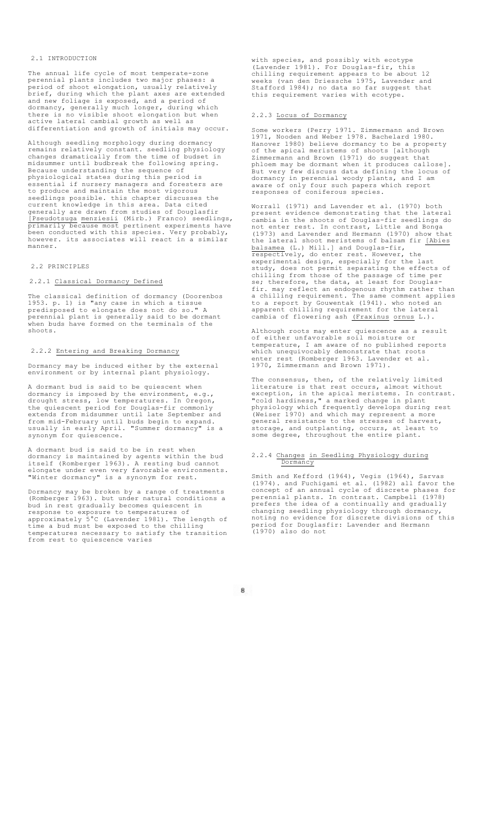## 2.1 INTRODUCTION

The annual life cycle of most temperate-zone perennial plants includes two major phases: a period of shoot elongation, usually relatively brief, during which the plant axes are extended and new foliage is exposed, and a period of dormancy, generally much longer, during which there is no visible shoot elongation but when active lateral cambial growth as well as differentiation and growth of initials may occur.

Although seedling morphology during dormancy remains relatively constant. seedling physiology changes dramatically from the time of budset in midsummer until budbreak the following spring. Because understanding the sequence of physiological states during this period is essential if nursery managers and foresters are to produce and maintain the most vigorous seedlings possible. this chapter discusses the current knowledge in this area. Data cited generally are drawn from studies of Douglasfir [Pseudotsuga menziesii (Mirb.) Franco) seedlings, primarily because most pertinent experiments have been conducted with this species. Very probably, however. its associates will react in a similar manner.

#### 2.2 PRINCIPLES

## 2.2.1 Classical Dormancy Defined

The classical definition of dormancy (Doorenbos 1953. p. 1) is "any case in which a tissue predisposed to elongate does not do so." A perennial plant is generally said to be dormant when buds have formed on the terminals of the shoots.

# 2.2.2 Entering and Breaking Dormancy

Dormancy may be induced either by the external environment or by internal plant physiology.

A dormant bud is said to be quiescent when dormancy is imposed by the environment, e.g., drought stress, low temperatures. In Oregon, the quiescent period for Douglas-fir commonly extends from midsummer until late September and from mid-February until buds begin to expand. usually in early April. "Summer dormancy" is a synonym for quiescence.

A dormant bud is said to be in rest when dormancy is maintained by agents within the bud itself (Romberger 1963). A resting bud cannot elongate under even very favorable environments. "Winter dormancy" is a synonym for rest.

Dormancy may be broken by a range of treatments (Romberger 1963). but under natural conditions a bud in rest gradually becomes quiescent in response to exposure to temperatures of approximately 5°C (Lavender 1981). The length of time a bud must be exposed to the chilling temperatures necessary to satisfy the transition from rest to quiescence varies

with species, and possibly with ecotype (Lavender 1981). For Douglas-fir, this chilling requirement appears to be about 12 weeks (van den Driessche 1975, Lavender and Stafford 1984); no data so far suggest that this requirement varies with ecotype.

## 2.2.3 Locus of Dormancy

Some workers (Perry 1971. Zimmermann and Brown 1971, Nooden and Weber 1978. Bachelard 1980. Hanover 1980) believe dormancy to be a property of the apical meristems of shoots [although Zimmermann and Brown (1971) do suggest that phloem may be dormant when it produces callose]. But very few discuss data defining the locus of dormancy in perennial woody plants, and I am aware of only four such papers which report responses of coniferous species.

Worrall (1971) and Lavender et al. (1970) both present evidence demonstrating that the lateral cambia in the shoots of Douglas-fir seedlings do not enter rest. In contrast, Little and Bonga (1973) and Lavender and Hermann (1970) show that the lateral shoot meristems of balsam fir [Abies balsamea (L.) Mill.] and Douglas-fir, respectively, do enter rest. However, the experimental design, especially for the last study, does not permit separating the effects of chilling from those of the passage of time per se; therefore, the data, at least for Douglasfir. may reflect an endogenous rhythm rather than a chilling requirement. The same comment applies to a report by Gouwentak (1941). who noted an apparent chilling requirement for the lateral cambia of flowering ash (Fraxinus ornus L.).

Although roots may enter quiescence as a result of either unfavorable soil moisture or temperature, I am aware of no published reports which unequivocably demonstrate that roots enter rest (Romberger 1963. Lavender et al. 1970, Zimmermann and Brown 1971).

The consensus, then, of the relatively limited literature is that rest occurs, almost without exception, in the apical meristems. In contrast. "cold hardiness," a marked change in plant physiology which frequently develops during rest (Weiser 1970) and which may represent a more general resistance to the stresses of harvest, storage, and outplanting, occurs, at least to some degree, throughout the entire plant.

#### 2.2.4 Changes in Seedling Physiology during Dormancy

Smith and Kefford (1964), Vegis (1964), Sarvas (1974). and Fuchigami et al. (1982) all favor the concept of an annual cycle of discrete phases for perennial plants. In contrast. Campbell (1978) prefers the idea of a continually and gradually changing seedling physiology through dormancy, noting no evidence for discrete divisions of this period for Douglasfir: Lavender and Hermann (1970) also do not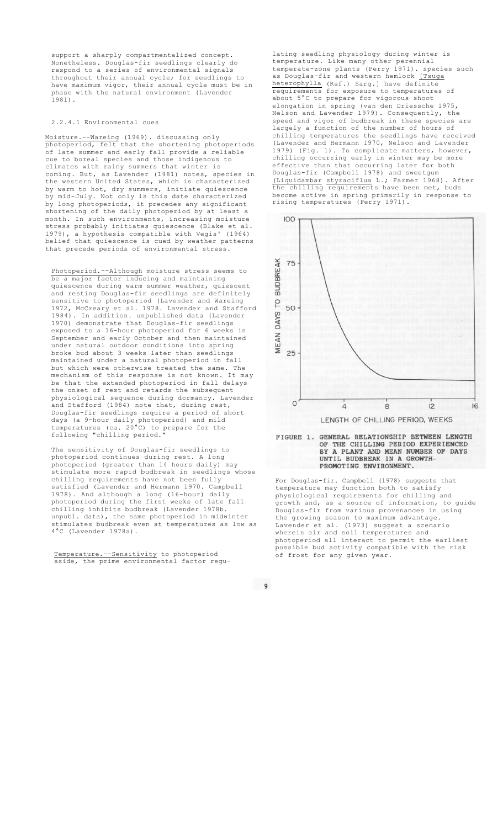support a sharply compartmentalized concept. Nonetheless. Douglas-fir seedlings clearly do respond to a series of environmental signals throughout their annual cycle; for seedlings to have maximum vigor, their annual cycle must be in phase with the natural environment (Lavender .<br>1981).

# 2.2.4.1 Environmental cues

Moisture.--Wareing (1969). discussing only photoperiod, felt that the shortening photoperiods of late summer and early fall provide a reliable cue to boreal species and those indigenous to climates with rainy summers that winter is coming. But, as Lavender (1981) notes, species in the western United States, which is characterized by warm to hot, dry summers, initiate quiescence by mid-July. Not only is this date characterized long photoperiods, it precedes any significant shortening of the daily photoperiod by at least a month. In such environments, increasing moisture<br>stress probably initiates quiescence (Blake et al. stress probably initiates quiescence (Blake et 1979), a hypothesis compatible with Vegis' (1964) belief that quiescence is cued by weather patterns that precede periods of environmental stress.

Photoperiod.--Although moisture stress seems to a major factor inducing and maintaining quiescence during warm summer weather, quiescent and resting Douglas-fir seedlings are definitely sensitive to photoperiod (Lavender and Wareing 1972, McCreary et al. 1978. Lavender and Stafford 1984). In addition. unpublished data (Lavender 1970) demonstrate that Douglas-fir seedlings exposed to a 16-hour photoperiod for 6 weeks in September and early October and then maintained under natural outdoor conditions into spring broke bud about 3 weeks later than seedlings maintained under a natural photoperiod in fall but which were otherwise treated the same. The mechanism of this response is not known. It may be that the extended photoperiod in fall delays the onset of rest and retards the subsequent physiological sequence during dormancy. Lavender and Stafford (1984) note that, during rest, Douglas-fir seedlings require a period of short days (a 9-hour daily photoperiod) and mild temperatures (ca. 20°C) to prepare for the following "chilling period."

The sensitivity of Douglas-fir seedlings to photoperiod continues during rest. A long photoperiod (greater than 14 hours daily) may stimulate more rapid budbreak in seedlings whose chilling requirements have not been fully satisfied (Lavender and Hermann 1970. Campbell 1978). And although a long (16-hour) daily photoperiod during the first weeks of late fall chilling inhibits budbreak (Lavender 1978b. unpubl. data), the same photoperiod in midwinter stimulates budbreak even at temperatures as low as 4°C (Lavender 1978a).

Temperature.--Sensitivity to photoperiod aside, the prime environmental factor regulating seedling physiology during winter is temperature. Like many other perennial temperate-zone plants (Perry 1971). species such as Douglas-fir and western hemlock [Tsuga heterophylla (Raf.) Sarg.] have definite requirements for exposure to temperatures of about 5°C to prepare for vigorous shoot elongation in spring (van den Driessche 1975, Nelson and Lavender 1979). Consequently, the speed and vigor of budbreak in these species are largely a function of the number of hours of chilling temperatures the seedlings have received (Lavender and Hermann 1970, Nelson and Lavender 1979) (Fig. 1). To complicate matters, however, chilling occurring early in winter may be more effective than that occurring later for both Douglas-fir (Campbell 1978) and sweetgum (Liquidambar styraciflua L.; Farmer 1968). After the chilling requirements have been met, buds become active in spring primarily in response to rising temperatures (Perry 1971).



FIGURE 1. GENERAL RELATIONSHIP BETWEEN LENGTH OF THE CHILLING PERIOD EXPERIENCED BY A PLANT AND MEAN NUMBER OF DAYS UNTIL BUDBREAK IN A GROWTH-PROMOTING ENVIRONMENT.

For Douglas-fir. Campbell (1978) suggests that temperature may function both to satisfy physiological requirements for chilling and growth and, as a source of information, to guide Douglas-fir from various provenances in using the growing season to maximum advantage. Lavender et al. (1973) suggest a scenario wherein air and soil temperatures and photoperiod all interact to permit the earliest possible bud activity compatible with the risk of frost for any given year.

 $\overline{9}$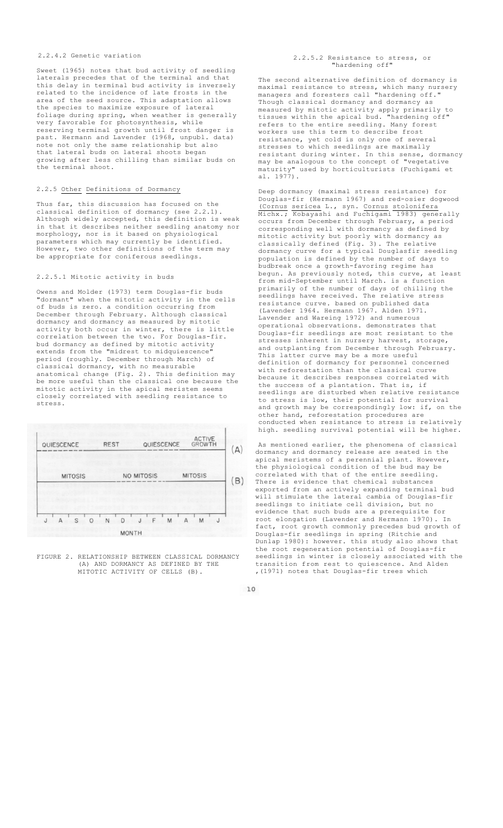## 2.2.4.2 Genetic variation

Sweet (1965) notes that bud activity of seedling laterals precedes that of the terminal and that this delay in terminal bud activity is inversely related to the incidence of late frosts in the area of the seed source. This adaptation allows the species to maximize exposure of lateral foliage during spring, when weather is generally very favorable for photosynthesis, while reserving terminal growth until frost danger is past. Hermann and Lavender (1968, unpubl. data) note not only the same relationship but also that lateral buds on lateral shoots began growing after less chilling than similar buds on the terminal shoot.

# 2.2.5 Other Definitions of Dormancy

Thus far, this discussion has focused on the classical definition of dormancy (see 2.2.1). Although widely accepted, this definition is weak<br>in that it describes neither seedling anatomy nor it describes neither seedling anatomy nor morphology, nor is it based on physiological parameters which may currently be identified. .<br>However, two other definitions of the term may be appropriate for coniferous seedlings.

## 2.2.5.1 Mitotic activity in buds

Owens and Molder (1973) term Douglas-fir buds "dormant" when the mitotic activity in the cells of buds is zero. a condition occurring from December through February. Although classical dormancy and dormancy as measured by mitotic activity both occur in winter, there is little correlation between the two. For Douglas-fir. bud dormancy as defined by mitotic activity extends from the "midrest to midquiescence" period (roughly. December through March) of classical dormancy, with no measurable anatomical change (Fig. 2). This definition may be more useful than the classical one because the mitotic activity in the apical meristem seems closely correlated with seedling resistance to stress.

| QUIESCENCE     | <b>REST</b> | QUIESCENCE | ACTIVE<br>GROWTH |  |
|----------------|-------------|------------|------------------|--|
| <b>MITOSIS</b> |             | NO MITOSIS | <b>MITOSIS</b>   |  |
|                | N<br>D      | F<br>M     | $\Delta$<br>M    |  |

FIGURE 2. RELATIONSHIP BETWEEN CLASSICAL DORMANCY (A) AND DORMANCY AS DEFINED BY THE MITOTIC ACTIVITY OF CELLS (B).

#### 2.2.5.2 Resistance to stress, or "hardening off"

The second alternative definition of dormancy is maximal resistance to stress, which many nursery managers and foresters call "hardening off." Though classical dormancy and dormancy as measured by mitotic activity apply primarily to tissues within the apical bud. "hardening off" refers to the entire seedling. Many forest workers use this term to describe frost resistance, yet cold is only one of several stresses to which seedlings are maximally resistant during winter. In this sense, dormancy may be analogous to the concept of "vegetative maturity" used by horticulturists (Fuchigami et al. 1977).

Deep dormancy (maximal stress resistance) for Douglas-fir (Hermann 1967) and red-osier dogwood (Cornus sericea L., syn. Cornus stolonifera<br>Michx.; Kobayashi and Fuchigami 1983) generally Kobayashi and Fuchigami occurs from December through February, a period corresponding well with dormancy as defined by mitotic activity but poorly with dormancy as classically defined (Fig. 3). The relative dormancy curve for a typical Douglasfir seedling population is defined by the number of days to budbreak once a growth-favoring regime has begun. As previously noted, this curve, at least from mid-September until March. is a function primarily of the number of days of chilling the seedlings have received. The relative stress resistance curve. based on published data (Lavender 1964. Hermann 1967. Alden 1971. Lavender and Wareing 1972) and numerous operational observations. demonstrates that Douglas-fir seedlings are most resistant to the stresses inherent in nursery harvest, storage, and outplanting from December through February. This latter curve may be a more useful definition of dormancy for personnel concerned with reforestation than the classical curve because it describes responses correlated with the success of a plantation. That is, if seedlings are disturbed when relative resistance to stress is low, their potential for survival and growth may be correspondingly low: if, on the other hand, reforestation procedures are conducted when resistance to stress is relatively high. seedling survival potential will be higher.

As mentioned earlier, the phenomena of classical dormancy and dormancy release are seated in the apical meristems of a perennial plant. However, the physiological condition of the bud may be correlated with that of the entire seedling. There is evidence that chemical substances exported from an actively expanding terminal bud will stimulate the lateral cambia of Douglas-fir seedlings to initiate cell division, but no evidence that such buds are a prerequisite for<br>root elongation (Lavender and Hermann 1970). In root elongation (Lavender and Hermann 1970).<br>fact. root growth commonly precedes bud grow root growth commonly precedes bud growth of Douglas-fir seedlings in spring (Ritchie and Dunlap 1980): however. this study also shows that the root regeneration potential of Douglas-fir seedlings in winter is closely associated with the transition from rest to quiescence. And Alden ,(1971) notes that Douglas-fir trees which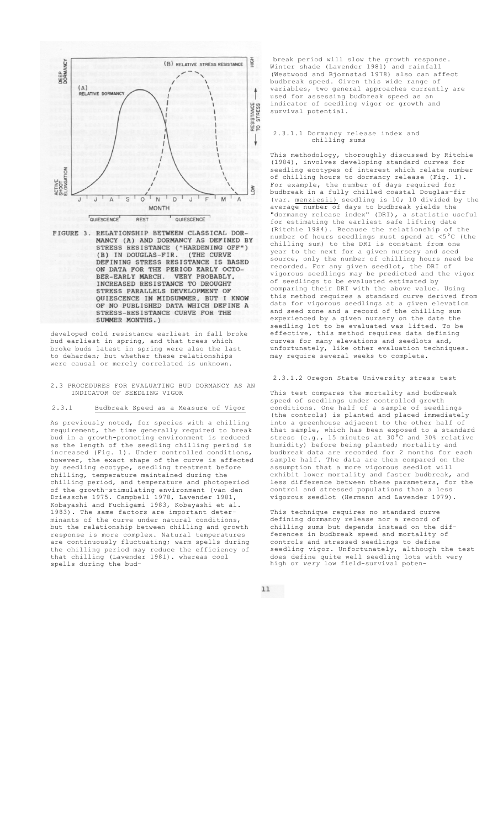

FIGURE 3. RELATIONSHIP BETWEEN CLASSICAL DOR-MANCY (A) AND DORMANCY AS DEFINED BY STRESS RESISTANCE ("HARDENING OFF") (B) IN DOUGLAS-FIR. (THE CURVE DEFINING STRESS RESISTANCE IS BASED<br>ON DATA FOR THE PERIOD EARLY OCTO-<br>BER-EARLY MARCH. VERY PROBABLY, BER-EARLY MARCH. VERY PROBABLY<br>INCREASED RESISTANCE TO DROUGHT<br>STRESS PARALLELS DEVELOPMENT OF QUIESCENCE IN MIDSUMMER. BUT I KNOW OF NO PUBLISHED DATA WHICH DEFINE A<br>STRESS-RESISTANCE CURVE FOR THE SUMMER MONTHS.)

developed cold resistance earliest in fall broke bud earliest in spring, and that trees which broke buds latest in spring were also the last to deharden; but whether these relationships were causal or merely correlated is unknown.

#### 2.3 PROCEDURES FOR EVALUATING BUD DORMANCY AS AN INDICATOR OF SEEDLING VIGOR

# 2.3.1 Budbreak Speed as a Measure of Vigor

As previously noted, for species with a chilling<br>requirement, the time generally required to break the time generally required to break bud in a growth-promoting environment is reduced as the length of the seedling chilling period is increased (Fig. 1). Under controlled conditions, however, the exact shape of the curve is affected by seedling ecotype, seedling treatment before chilling, temperature maintained during the chilling period, and temperature and photoperiod of the growth-stimulating environment (van den Driessche 1975. Campbell 1978, Lavender 1981, Kobayashi and Fuchigami 1983, Kobayashi et al. 1983). The same factors are important determinants of the curve under natural conditions, but the relationship between chilling and growth response is more complex. Natural temperatures are continuously fluctuating; warm spells during the chilling period may reduce the efficiency of that chilling (Lavender 1981). whereas cool spells during the bud-

break period will slow the growth response. Winter shade (Lavender 1981) and rainfall (Westwood and Bjornstad 1978) also can affect budbreak speed. Given this wide range of variables, two general approaches currently are used for assessing budbreak speed as an indicator of seedling vigor or growth and survival potential.

#### 2.3.1.1 Dormancy release index and chilling sums

This methodology, thoroughly discussed by Ritchie (1984), involves developing standard curves for seedling ecotypes of interest which relate number of chilling hours to dormancy release (Fig. 1). For example, the number of days required for budbreak in a fully chilled coastal Douglas-fir (var. menziesii) seedling is 10; 10 divided by the average number of days to budbreak yields the "dormancy release index" (DRI), a statistic useful for estimating the earliest safe lifting date (Ritchie 1984). Because the relationship of the number of hours seedlings must spend at <5°C (the chilling sum) to the DRI is constant from one year to the next for a given nursery and seed source, only the number of chilling hours need be recorded. For any given seedlot, the DRI of vigorous seedlings may be predicted and the vigor of seedlings to be evaluated estimated by comparing their DRI with the above value. Using this method requires a standard curve derived from data for vigorous seedlings at a given elevation and seed zone and a record of the chilling sum experienced by a given nursery on the date the<br>seedling lot to be evaluated was lifted. To be seedling lot to be evaluated was lifted. effective, this method requires data defining curves for many elevations and seedlots and, unfortunately, like other evaluation techniques. may require several weeks to complete.

2.3.1.2 Oregon State University stress test

This test compares the mortality and budbreak speed of seedlings under controlled growth conditions. One half of a sample of seedlings (the controls) is planted and placed immediately into a greenhouse adjacent to the other half of that sample, which has been exposed to a standard stress (e.g., 15 minutes at 30°C and 30% relative humidity) before being planted; mortality and budbreak data are recorded for 2 months for each sample half. The data are then compared on the assumption that a more vigorous seedlot will exhibit lower mortality and faster budbreak, and less difference between these parameters, for the control and stressed populations than a less vigorous seedlot (Hermann and Lavender 1979).

This technique requires no standard curve defining dormancy release nor a record of chilling sums but depends instead on the differences in budbreak speed and mortality of controls and stressed seedlings to define seedling vigor. Unfortunately, although the test does define quite well seedling lots with very high or *very* low field-survival poten-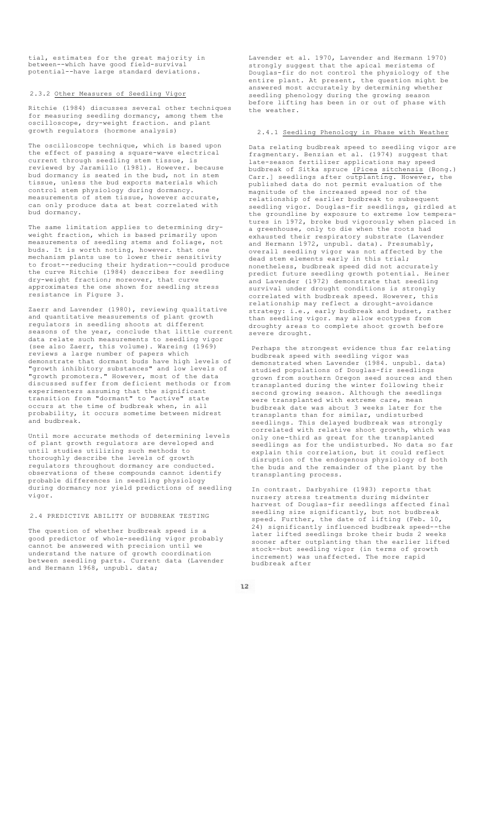tial, estimates for the great majority in between--which have good field-survival potential--have large standard deviations.

# 2.3.2 Other Measures of Seedling Vigor

Ritchie (1984) discusses several other techniques for measuring seedling dormancy, among them the oscilloscope, dry-weight fraction. and plant growth regulators (hormone analysis)

The oscilloscope technique, which is based upon the effect of passing a square-wave electrical current through seedling stem tissue, is reviewed by Jaramillo (1981). However. because bud dormancy is seated in the bud, not in stem tissue, unless the bud exports materials which control stem physiology during dormancy. measurements of stem tissue, however accurate, can only produce data at best correlated with bud dormancy.

The same limitation applies to determining dryweight fraction, which is based primarily upon measurements of seedling stems and foliage, buds. It is worth noting, however. that one mechanism plants use to lower their sensitivity to frost--reducing their hydration--could produce the curve Ritchie (1984) describes for seedling dry-weight fraction; moreover, that curve approximates the one shown for seedling stress resistance in Figure 3.

Zaerr and Lavender (1980), reviewing qualitative and quantitative measurements of plant growth regulators in seedling shoots at different seasons of the year, conclude that little current data relate such measurements to seedling vigor (see also Zaerr, this volume). Wareing (1969) reviews a large number of papers which demonstrate that dormant buds have high levels of "growth inhibitory substances" and low levels of "growth promoters." However, most of the data growth inhibitory substances and fow fevers of<br>"growth promoters." However, most of the data<br>discussed suffer from deficient methods or from experimenters assuming that the significant transition from "dormant" to "active" state occurs at the time of budbreak when, in all probability, it occurs sometime between midrest and budbreak.

Until more accurate methods of determining levels of plant growth regulators are developed and until studies utilizing such methods to thoroughly describe the levels of growth regulators throughout dormancy are conducted. observations of these compounds cannot identify probable differences in seedling physiology during dormancy nor yield predictions of seedling vigor.

## 2.4 PREDICTIVE ABILITY OF BUDBREAK TESTING

The question of whether budbreak speed is a good predictor of whole-seedling vigor probably<br>cannot be answered with precision until we cannot be answered with precision until understand the nature of growth coordination between seedling parts. Current data (Lavender and Hermann 1968, unpubl. data;

Lavender et al. 1970, Lavender and Hermann 1970) strongly suggest that the apical meristems of Douglas-fir do not control the physiology of the entire plant. At present, the question might be answered most accurately by determining whether seedling phenology during the growing season before lifting has been in or out of phase with the weather.

## 2.4.1 Seedling Phenoloqy in Phase with Weather

Data relating budbreak speed to seedling vigor are fragmentary. Benzian et al. (1974) suggest that late-season fertilizer applications may speed budbreak of Sitka spruce (Picea sitchensis (Bong.) Carr.] seedlings after outplanting. However, the published data do not permit evaluation of the magnitude of the increased speed nor of the relationship of earlier budbreak to subsequent seedling vigor. Douglas-fir seedlings, girdled at the groundline by exposure to extreme low temperatures in 1972, broke bud vigorously when placed in a greenhouse, only to die when the roots had exhausted their respiratory substrate (Lavender and Hermann 1972, unpubl. data). Presumably, overall seedling vigor was not affected by the dead stem elements early in this trial; nonetheless, budbreak speed did not accurately predict future seedling growth potential. Heiner and Lavender (1972) demonstrate that seedling survival under drought conditions is strongly correlated with budbreak speed. However, this relationship may reflect a drought-avoidance strategy: i.e., early budbreak and budset, rather than seedling vigor. may allow ecotypes from droughty areas to complete shoot growth before severe drought.

Perhaps the strongest evidence thus far relating budbreak speed with seedling vigor was demonstrated when Lavender (1984. unpubl. data) studied populations of Douglas-fir seedlings grown from southern Oregon seed sources and then transplanted during the winter following their second growing season. Although the seedlings were transplanted with extreme care, mean budbreak date was about 3 weeks later for the transplants than for similar, undisturbed seedlings. This delayed budbreak was strongly correlated with relative shoot growth, which was only one-third as great for the transplanted seedlings as for the undisturbed. No data so far explain this correlation, but it could reflect disruption of the endogenous physiology of both the buds and the remainder of the plant by the transplanting process.

In contrast. Darbyshire (1983) reports that nursery stress treatments during midwinter harvest of Douglas-fir seedlings affected final seedling size significantly, but not budbreak speed. Further, the date of lifting (Feb. 10, 24) significantly influenced budbreak speed--the later lifted seedlings broke their buds 2 weeks sooner after outplanting than the earlier lifted stock--but seedling vigor (in terms of growth increment) was unaffected. The more rapid budbreak after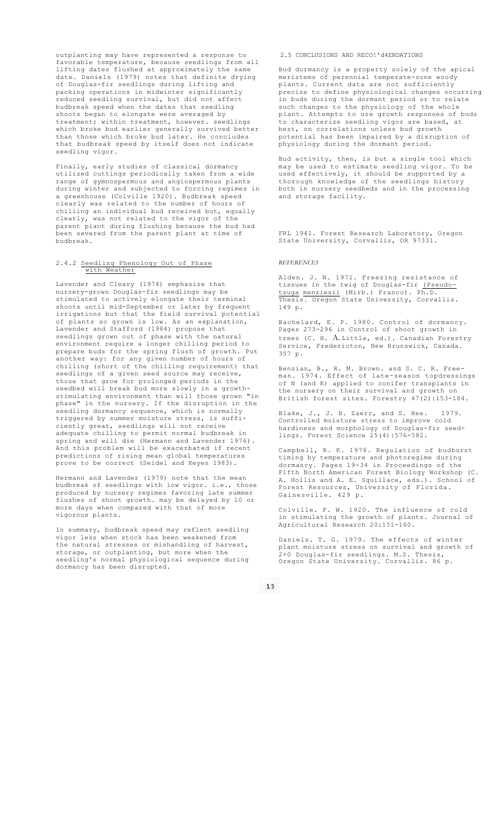outplanting may have represented a response to favorable temperature, because seedlings from all lifting dates flushed at approximately the same date. Daniels (1979) notes that definite drying of Douglas-fir seedlings during lifting and packing operations in midwinter significantly reduced seedling survival, but did not affect budbreak speed when the dates that seedling shoots began to elongate were averaged by treatment; within treatment, however. seedlings which broke bud earlier generally survived better than those which broke bud later. He concludes that budbreak speed by itself does not indicate seedling vigor.

Finally, early studies of classical dormancy utilized cuttings periodically taken from a wide range of gymnospermous and angiospermous plants during winter and subjected to forcing regimes in a greenhouse (Colville 1920). Budbreak speed clearly was related to the number of hours of chilling an individual bud received but, equally clearly, was not related to the vigor of the parent plant during flushing because the bud had been severed from the parent plant at time of budbreak.

#### 2.4.2 Seedlinq Phenoloqy Out of Phase with Weather

Lavender and Cleary (1974) emphasize that nursery-grown Douglas-fir seedlings may be stimulated to actively elongate their terminal shoots until mid-September or later by frequent irrigations but that the field survival potential of plants so grown is low. As an explanation, Lavender and Stafford (1984) propose that seedlings grown out of phase with the natural environment require a longer chilling period to prepare buds for the spring flush of growth. Put another way: for any given number of hours of chilling (short of the chilling requirement) that seedlings of a given seed source may receive, those that grow for prolonged periods in the seedbed will break bud more slowly in a growthstimulating environment than will those grown "in phase" in the nursery. If the disruption in the .<br>seedling dormancy sequence, which is normally triggered by summer moisture stress, is sufficiently great, seedlings will not receive adequate chilling to permit normal budbreak in spring and will die (Hermann and Lavender 1976). And this problem will be exacerbated if recent predictions of rising mean global temperatures prove to be correct (Seidel and Keyes 1983).

Hermann and Lavender (1979) note that the mean budbreak of seedlings with low vigor. i.e., those produced by nursery regimes favoring late summer flushes of shoot growth. may be delayed by 10 or more days when compared with that of more vigorous plants.

In summary, budbreak speed may reflect seedling vigor less when stock has been weakened from the natural stresses or mishandling of harvest, storage, or outplanting, but more when the seedling's normal physiological sequence during dormancy has been disrupted.

# 2.5 CONCLUSIONS AND RECO!'d4ENDATIONS

Bud dormancy is a property solely of the apical meristems of perennial temperate-zone woody plants. Current data are not sufficiently precise to define physiological changes occurring In buds during the dormant period or to such changes to the physiology of the whole plant. Attempts to use growth responses of buds .<br>to characterize seedling vigor are based, at best, on correlations unless bud growth potential has been impaired by a disruption of physiology during the dormant period.

Bud activity, then, is but a single tool which may be used to estimate seedling vigor. To be used effectively, it should be supported by a thorough knowledge of the seedlings history both in nursery seedbeds and in the processing and storage facility.

FRL 1941. Forest Research Laboratory, Oregon State University, Corvallis, OR 97331.

# *REFERENCES*

Alden. J. N. 1971. Freezing resistance of tissues in the twig of Douglas-fir (Pseudotsuga menziesii (Mirb.) Franco). Ph.D. Thesis. Oregon State University, Corvallis. 149 p.

Bachelard, E. P. 1980. Control of dormancy. Pages 273-296 in Control of shoot growth in trees (C. H. A. Little, ed.). Canadian Forestry Service, Fredericton, New Brunswick, Canada. 357 p.

Benzian, B., R. M. Brown. and S. C. R. Freeman. 1974. Effect of late-season topdressings of N (and K) applied to conifer transplants in the nursery on their survival and growth on British forest sites. Forestry 47(2):153-184.

Blake, J., J. B. Zaerr, and S. Hee. 1979. Controlled moisture stress to improve cold hardiness and morphology of Douglas-fir seedlings. Forest Science 25(4):576-582.

Campbell, R. K. 1978. Regulation of budburst timing by temperature and photoregime during dormancy. Pages 19-34 in Proceedings of the Fifth North American Forest Biology Workshop (C. A. Hollis and A. E. Squillace, eds.). School of Forest Resources, University of Florida. Gainesville. 429 p.

Colville. F. W. 1920. The influence of cold in stimulating the growth of plants. Journal of Agricultural Research 20:151-160.

Daniels. T. G. 1979. The effects of winter plant moisture stress on survival and growth of .<br>2+0 Douglas-fir seedlings. M.S. Thesis, Oregon State University. Corvallis. 86 p.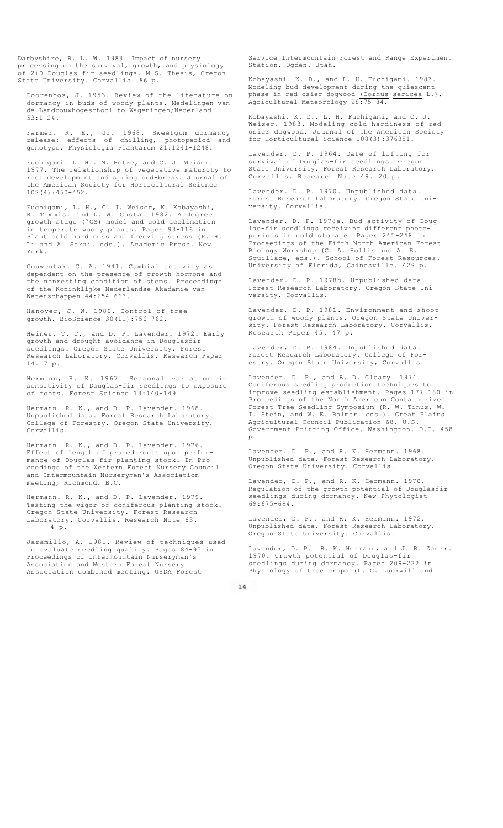Darbyshire, R. L. W. 1983. Impact of nursery processing on the survival, growth, and physiology of 2+0 Douglas-fir seedlings. M.S. Thesis, Oregon State University. Corvallis. 86 p.

Doorenbos, J. 1953. Review of the literature on dormancy in buds of woody plants. Medelingen van de Landbouwhogeschool to Wageningen/Nederland 53:1-24.

Farmer. R. E., Jr. 1968. Sweetgum dormancy release: effects of chilling, photoperiod and genotype. Physiologia Plantarum 21:1241-1248.

Fuchigami. L. H.. M. Hotze, and C. J. Weiser. 1977. The relationship of vegetative maturity to rest development and spring bud-break. Journal of the American Society for Horticultural Science 102(4):450-452.

Fuchigami, L. H., C. J. Weiser, K. Kobayashi, R. Timmis. and L. W. Gusta. 1982. A degree growth stage (°GS) model and cold acclimation in temperate woody plants. Pages 93-116 in cold hardiness and freezing stress (P. H. Li and A. Sakai. eds.). Academic Press. New York.

Gouwentak. C. A. 1941. Cambial activity as dependent on the presence of growth hormone and the nonresting condition of stems. Proceedings of the Koninklijke Nederlandse Akadamie van Wetenschappen 44:654-663.

Hanover, J. W. 1980. Control of tree growth. BioScience 30(11):756-762.

Heiner, T. C., and D. P. Lavender. 1972. Early growth and drought avoidance in Douglasfir seedlings. Oregon State University. Forest Research Laboratory, Corvallis. Research Paper 14. 7 p.

Hermann, R. K. 1967. Seasonal variation in sensitivity of Douglas-fir seedlings to exposure of roots. Forest Science 13:140-149.

Hermann. R. K., and D. P. Lavender. 1968. Unpublished data. Forest Research Laboratory. College of Forestry. Oregon State University. Corvallis.

Hermann. R. K., and D. P. Lavender. 1976. Effect of length of pruned roots upon performance of Douglas-fir planting stock. In Proceedings of the Western Forest Nursery Council and Intermountain Nurserymen's Association meeting, Richmond. B.C.

Hermann. R. K., and D. P. Lavender. 1979. Testing the vigor of coniferous planting stock. Oregon State University. Forest Research Laboratory. Corvallis. Research Note 63. 4 p.

Jaramillo, A. 1981. Review of techniques used to evaluate seedling quality. Pages 84-95 in Proceedings of Intermountain Nurseryman's Association and Western Forest Nursery Association combined meeting. USDA Forest

Service Intermountain Forest and Range Experiment Station. Ogden. Utah.

Kobayashi. K. D., and L. H. Fuchigami. 1983. Modeling bud development during the quiescent phase in red-osier dogwood (Cornus sericea L.). Agricultural Meteorology 28:75-84.

Kobayashi. K. D., L. H. Fuchigami, and C. J. Weiser. 1983. Modeling cold hardiness of redosier dogwood. Journal of the American Society for Horticultural Science 108(3):376381.

Lavender, D. P. 1964. Date of lifting for survival of Douglas-fir seedlings. Oregon State University. Forest Research Laboratory. Corvallis. Research Note 49. 20 p.

Lavender. D. P. 1970. Unpublished data. Forest Research Laboratory. Oregon State University. Corvallis.

Lavender. D. P. 1978a. Bud activity of Douglas-fir seedlings receiving different photoperiods in cold storage. Pages 245-248 in Proceedings of the Fifth North American Forest Biology Workshop (C. A. Hollis and A. E. Squillace, eds.). School of Forest Resources. University of Florida, Gainesville. 429 p.

Lavender. D. P. 1978b. Unpublished data. Forest Research Laboratory. Oregon State University. Corvallis.

Lavender, D. P. 1981. Environment and shoot growth of woody plants. Oregon State University. Forest Research Laboratory. Corvallis. Research Paper 45. 47 p.

Lavender, D. P. 1984. Unpublished data. Forest Research Laboratory. College of Forestry. Oregon State University, Corvallis.

Lavender. D. P., and B. D. Cleary. 1974. Coniferous seedling production techniques to improve seedling establishment. Pages 177-180 in Proceedings of the North American Containerized Forest Tree Seedling Symposium (R. W. Tinus, W. I. Stein, and W. E. Balmer. eds.). Great Plains Agricultural Council Publication 68. U.S. Government Printing Office. Washington. D.C. 458 p.

Lavender. D. P., and R. K. Hermann. 1968. Unpublished data, Forest Research Laboratory. Oregon State University. Corvallis.

Lavender, D. P., and R. K. Hermann. 1970. Regulation of the growth potential of Douglasfir seedlings during dormancy. New Phytologist 69:675-694.

Lavender, D. P.. and R. K. Hermann. 1972. Unpublished data, Forest Research Laboratory. Oregon State University. Corvallis.

Lavender, D. P.. R. K. Hermann, and J. B. Zaerr. 1970. Growth potential of Douglas-fir seedlings during dormancy. Pages 209-222 in Physiology of tree crops (L. C. Luckwill and